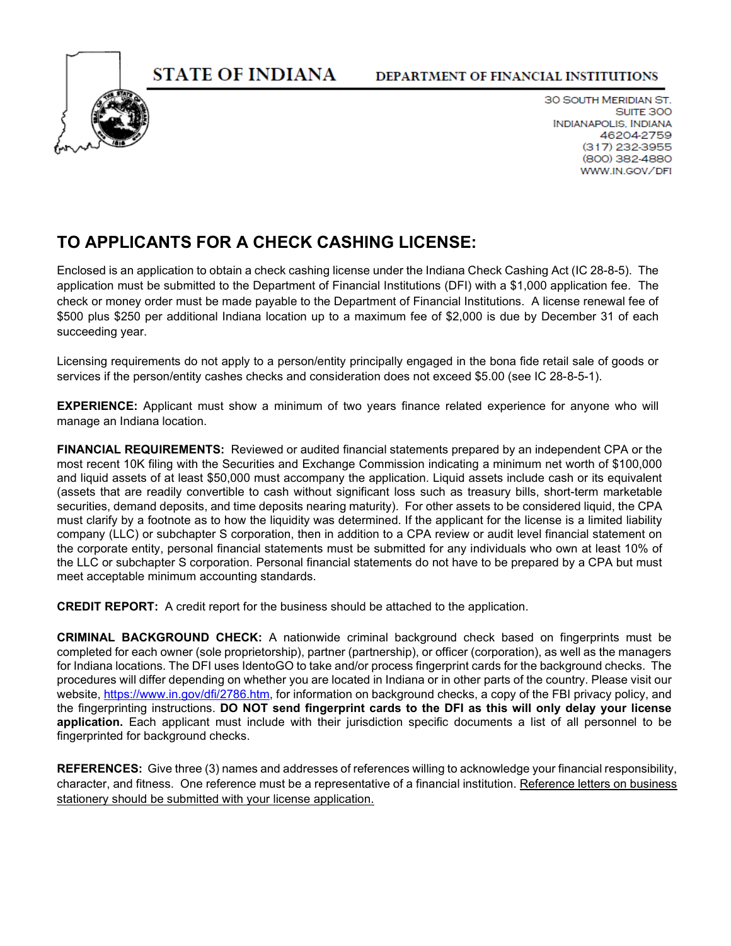**STATE OF INDIANA** 



30 SOUTH MERIDIAN ST. SUITE 300 **INDIANAPOLIS, INDIANA** 46204-2759  $(317)$  232-3955 (800) 382-4880 WWW.IN.GOV/DFI

# **TO APPLICANTS FOR A CHECK CASHING LICENSE:**

Enclosed is an application to obtain a check cashing license under the Indiana Check Cashing Act (IC 28-8-5). The application must be submitted to the Department of Financial Institutions (DFI) with a \$1,000 application fee. The check or money order must be made payable to the Department of Financial Institutions. A license renewal fee of \$500 plus \$250 per additional Indiana location up to a maximum fee of \$2,000 is due by December 31 of each succeeding year.

Licensing requirements do not apply to a person/entity principally engaged in the bona fide retail sale of goods or services if the person/entity cashes checks and consideration does not exceed \$5.00 (see IC 28-8-5-1).

**EXPERIENCE:** Applicant must show a minimum of two years finance related experience for anyone who will manage an Indiana location.

**FINANCIAL REQUIREMENTS:** Reviewed or audited financial statements prepared by an independent CPA or the most recent 10K filing with the Securities and Exchange Commission indicating a minimum net worth of \$100,000 and liquid assets of at least \$50,000 must accompany the application. Liquid assets include cash or its equivalent (assets that are readily convertible to cash without significant loss such as treasury bills, short-term marketable securities, demand deposits, and time deposits nearing maturity). For other assets to be considered liquid, the CPA must clarify by a footnote as to how the liquidity was determined. If the applicant for the license is a limited liability company (LLC) or subchapter S corporation, then in addition to a CPA review or audit level financial statement on the corporate entity, personal financial statements must be submitted for any individuals who own at least 10% of the LLC or subchapter S corporation. Personal financial statements do not have to be prepared by a CPA but must meet acceptable minimum accounting standards.

**CREDIT REPORT:** A credit report for the business should be attached to the application.

**CRIMINAL BACKGROUND CHECK:** A nationwide criminal background check based on fingerprints must be completed for each owner (sole proprietorship), partner (partnership), or officer (corporation), as well as the managers for Indiana locations. The DFI uses IdentoGO to take and/or process fingerprint cards for the background checks. The procedures will differ depending on whether you are located in Indiana or in other parts of the country. Please visit our website, [https://www.in.gov/dfi/2786.htm,](https://www.in.gov/dfi/2786.htm) for information on background checks, a copy of the FBI privacy policy, and the fingerprinting instructions. **DO NOT send fingerprint cards to the DFI as this will only delay your license application.** Each applicant must include with their jurisdiction specific documents a list of all personnel to be fingerprinted for background checks.

**REFERENCES:** Give three (3) names and addresses of references willing to acknowledge your financial responsibility, character, and fitness. One reference must be a representative of a financial institution. Reference letters on business stationery should be submitted with your license application.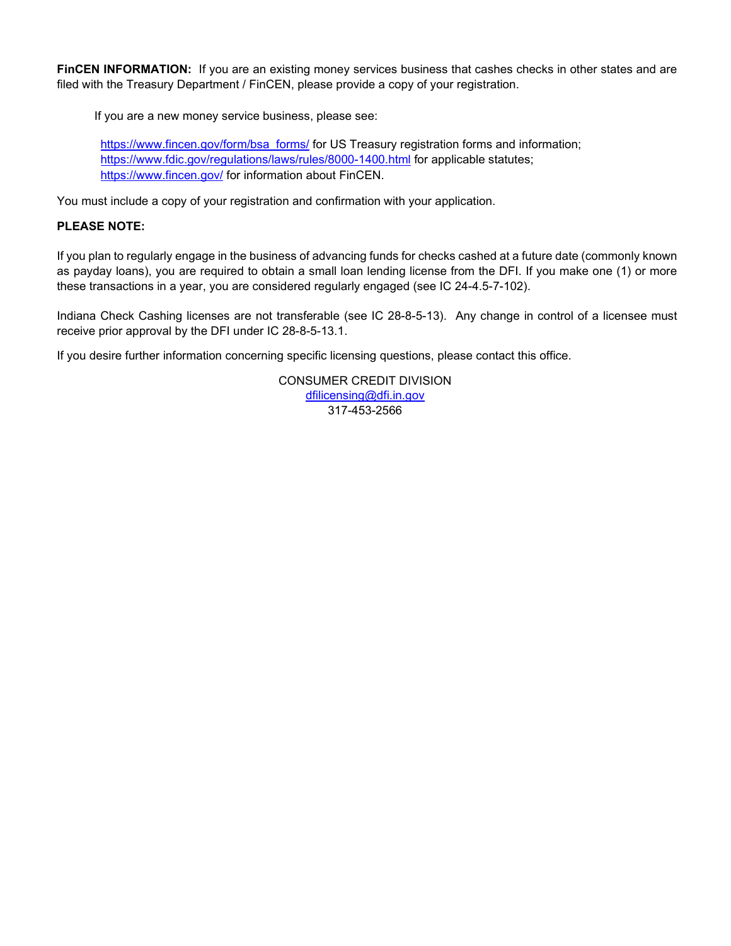**FINCEN INFORMATION:** If you are an existing money services business that cashes checks in other states and are filed with the Treasury Department / FinCEN, please provide a copy of your registration.

If you are a new money service business, please see:

[https://www.fincen.gov/form/bsa\\_forms/](https://www.fincen.gov/form/bsa_forms/) for US Treasury registration forms and information; <https://www.fdic.gov/regulations/laws/rules/8000-1400.html> for applicable statutes; <https://www.fincen.gov/> for information about FinCEN.

You must include a copy of your registration and confirmation with your application.

#### **PLEASE NOTE:**

If you plan to regularly engage in the business of advancing funds for checks cashed at a future date (commonly known as payday loans), you are required to obtain a small loan lending license from the DFI. If you make one (1) or more these transactions in a year, you are considered regularly engaged (see IC 24-4.5-7-102).

Indiana Check Cashing licenses are not transferable (see IC 28-8-5-13). Any change in control of a licensee must receive prior approval by the DFI under IC 28-8-5-13.1.

If you desire further information concerning specific licensing questions, please contact this office.

CONSUMER CREDIT DIVISION [dfilicensing@dfi.in.gov](mailto:dfilicensing@dfi.in.gov)  317-453-2566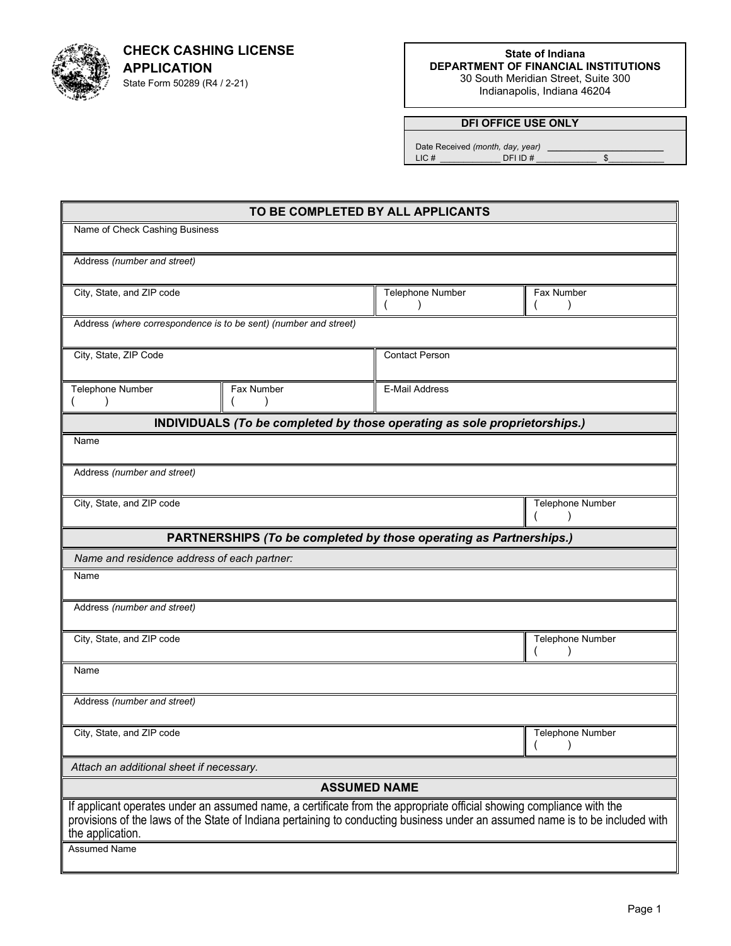

**CHECK CASHING LICENSE APPLICATION**  State Form 50289 (R4 / 2-21)

**State of Indiana DEPARTMENT OF FINANCIAL INSTITUTIONS** 30 South Meridian Street, Suite 300 Indianapolis, Indiana 46204

### **DFI OFFICE USE ONLY**

 Date Received *(month, day, year)* \_\_\_\_\_\_\_\_\_\_\_\_\_\_\_\_\_\_\_\_\_\_\_\_\_ LIC # \_\_\_\_\_\_\_\_\_\_\_\_\_ DFI ID # \_\_\_\_\_\_\_\_\_\_\_\_\_ \$\_\_\_\_\_\_\_\_\_\_\_\_

| TO BE COMPLETED BY ALL APPLICANTS                                                                                                                                                                                                                                         |                                                                           |                       |                  |  |
|---------------------------------------------------------------------------------------------------------------------------------------------------------------------------------------------------------------------------------------------------------------------------|---------------------------------------------------------------------------|-----------------------|------------------|--|
| Name of Check Cashing Business                                                                                                                                                                                                                                            |                                                                           |                       |                  |  |
| Address (number and street)                                                                                                                                                                                                                                               |                                                                           |                       |                  |  |
| City, State, and ZIP code                                                                                                                                                                                                                                                 |                                                                           | Telephone Number      | Fax Number       |  |
| Address (where correspondence is to be sent) (number and street)                                                                                                                                                                                                          |                                                                           |                       |                  |  |
| City, State, ZIP Code                                                                                                                                                                                                                                                     |                                                                           | <b>Contact Person</b> |                  |  |
| Telephone Number                                                                                                                                                                                                                                                          | Fax Number                                                                | <b>E-Mail Address</b> |                  |  |
|                                                                                                                                                                                                                                                                           | INDIVIDUALS (To be completed by those operating as sole proprietorships.) |                       |                  |  |
| Name                                                                                                                                                                                                                                                                      |                                                                           |                       |                  |  |
| Address (number and street)                                                                                                                                                                                                                                               |                                                                           |                       |                  |  |
| City, State, and ZIP code                                                                                                                                                                                                                                                 |                                                                           |                       | Telephone Number |  |
|                                                                                                                                                                                                                                                                           | PARTNERSHIPS (To be completed by those operating as Partnerships.)        |                       |                  |  |
| Name and residence address of each partner:                                                                                                                                                                                                                               |                                                                           |                       |                  |  |
| Name                                                                                                                                                                                                                                                                      |                                                                           |                       |                  |  |
| Address (number and street)                                                                                                                                                                                                                                               |                                                                           |                       |                  |  |
| City, State, and ZIP code                                                                                                                                                                                                                                                 |                                                                           | Telephone Number      |                  |  |
| Name                                                                                                                                                                                                                                                                      |                                                                           |                       |                  |  |
| Address (number and street)                                                                                                                                                                                                                                               |                                                                           |                       |                  |  |
| City, State, and ZIP code                                                                                                                                                                                                                                                 |                                                                           |                       | Telephone Number |  |
| Attach an additional sheet if necessary.                                                                                                                                                                                                                                  |                                                                           |                       |                  |  |
| <b>ASSUMED NAME</b>                                                                                                                                                                                                                                                       |                                                                           |                       |                  |  |
| If applicant operates under an assumed name, a certificate from the appropriate official showing compliance with the<br>provisions of the laws of the State of Indiana pertaining to conducting business under an assumed name is to be included with<br>the application. |                                                                           |                       |                  |  |
| <b>Assumed Name</b>                                                                                                                                                                                                                                                       |                                                                           |                       |                  |  |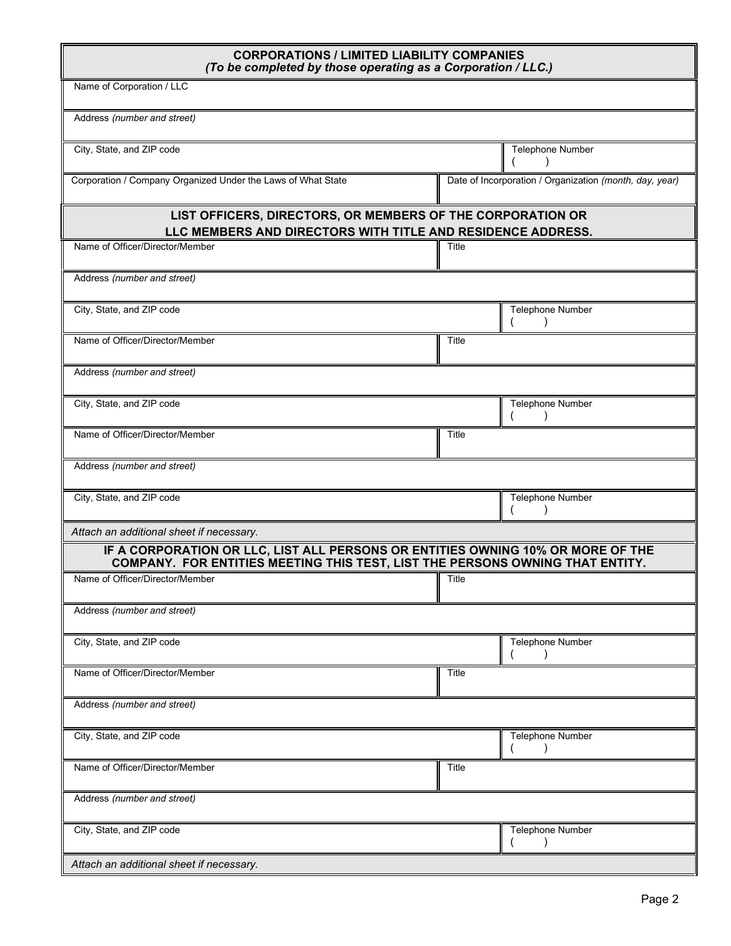| <b>CORPORATIONS / LIMITED LIABILITY COMPANIES</b><br>(To be completed by those operating as a Corporation / LLC.)                                             |              |                                                         |  |
|---------------------------------------------------------------------------------------------------------------------------------------------------------------|--------------|---------------------------------------------------------|--|
| Name of Corporation / LLC                                                                                                                                     |              |                                                         |  |
| Address (number and street)                                                                                                                                   |              |                                                         |  |
| City, State, and ZIP code                                                                                                                                     |              | Telephone Number                                        |  |
| Corporation / Company Organized Under the Laws of What State                                                                                                  |              | Date of Incorporation / Organization (month, day, year) |  |
| LIST OFFICERS, DIRECTORS, OR MEMBERS OF THE CORPORATION OR<br>LLC MEMBERS AND DIRECTORS WITH TITLE AND RESIDENCE ADDRESS.                                     |              |                                                         |  |
| Name of Officer/Director/Member                                                                                                                               | Title        |                                                         |  |
| Address (number and street)                                                                                                                                   |              |                                                         |  |
| City, State, and ZIP code                                                                                                                                     |              | Telephone Number                                        |  |
| Name of Officer/Director/Member                                                                                                                               | <b>Title</b> |                                                         |  |
| Address (number and street)                                                                                                                                   |              |                                                         |  |
| City, State, and ZIP code                                                                                                                                     |              | Telephone Number                                        |  |
| Name of Officer/Director/Member                                                                                                                               | Title        |                                                         |  |
| Address (number and street)                                                                                                                                   |              |                                                         |  |
| City, State, and ZIP code                                                                                                                                     |              | Telephone Number                                        |  |
| Attach an additional sheet if necessary.                                                                                                                      |              |                                                         |  |
| IF A CORPORATION OR LLC, LIST ALL PERSONS OR ENTITIES OWNING 10% OR MORE OF THE COMPANY. FOR ENTITIES MEETING THIS TEST, LIST THE PERSONS OWNING THAT ENTITY. |              |                                                         |  |
| Name of Officer/Director/Member                                                                                                                               | Title        |                                                         |  |
| Address (number and street)                                                                                                                                   |              |                                                         |  |
| City, State, and ZIP code                                                                                                                                     |              | Telephone Number                                        |  |
| Name of Officer/Director/Member                                                                                                                               | Title        |                                                         |  |
| Address (number and street)                                                                                                                                   |              |                                                         |  |
| City, State, and ZIP code                                                                                                                                     |              | Telephone Number                                        |  |
| Name of Officer/Director/Member                                                                                                                               | Title        |                                                         |  |
| Address (number and street)                                                                                                                                   |              |                                                         |  |
| City, State, and ZIP code                                                                                                                                     |              | Telephone Number                                        |  |
| Attach an additional sheet if necessary.                                                                                                                      |              |                                                         |  |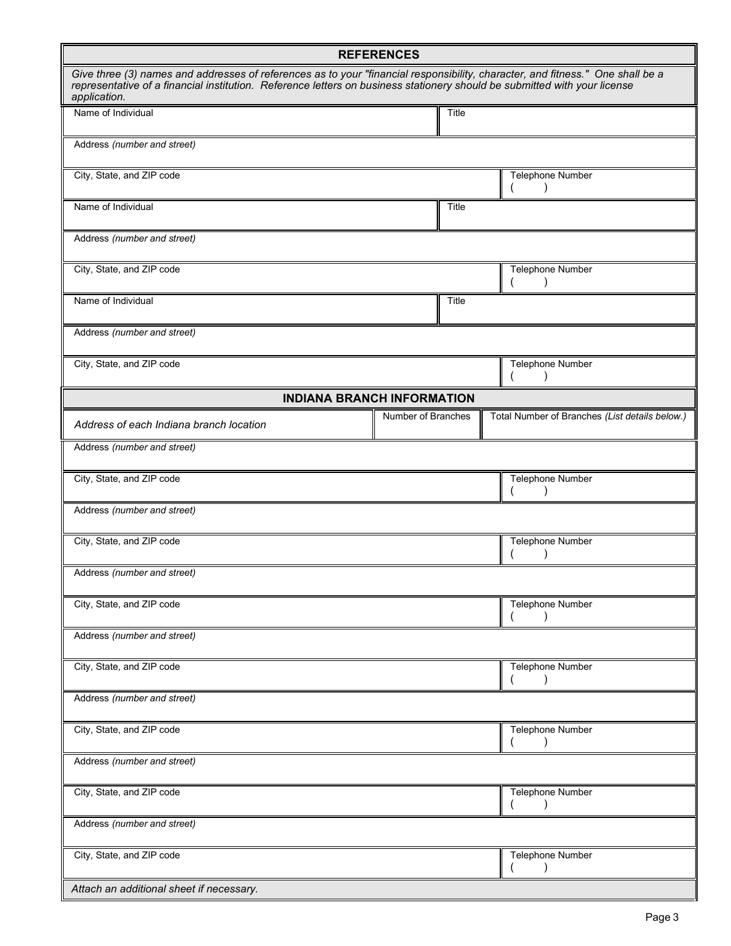| <b>REFERENCES</b>                                                                                                                                                                                                                                                           |       |                                                |  |
|-----------------------------------------------------------------------------------------------------------------------------------------------------------------------------------------------------------------------------------------------------------------------------|-------|------------------------------------------------|--|
| Give three (3) names and addresses of references as to your "financial responsibility, character, and fitness." One shall be a<br>representative of a financial institution. Reference letters on business stationery should be submitted with your license<br>application. |       |                                                |  |
| Name of Individual                                                                                                                                                                                                                                                          | Title |                                                |  |
| Address (number and street)                                                                                                                                                                                                                                                 |       |                                                |  |
| City, State, and ZIP code                                                                                                                                                                                                                                                   |       | Telephone Number                               |  |
| Name of Individual                                                                                                                                                                                                                                                          | Title |                                                |  |
| Address (number and street)                                                                                                                                                                                                                                                 |       |                                                |  |
| City, State, and ZIP code                                                                                                                                                                                                                                                   |       | Telephone Number                               |  |
| Name of Individual                                                                                                                                                                                                                                                          | Title |                                                |  |
| Address (number and street)                                                                                                                                                                                                                                                 |       |                                                |  |
| City, State, and ZIP code                                                                                                                                                                                                                                                   |       | Telephone Number<br>-1                         |  |
| <b>INDIANA BRANCH INFORMATION</b>                                                                                                                                                                                                                                           |       |                                                |  |
| Number of Branches<br>Address of each Indiana branch location                                                                                                                                                                                                               |       | Total Number of Branches (List details below.) |  |
| Address (number and street)                                                                                                                                                                                                                                                 |       |                                                |  |
| City, State, and ZIP code                                                                                                                                                                                                                                                   |       | Telephone Number                               |  |
| Address (number and street)                                                                                                                                                                                                                                                 |       |                                                |  |
| City, State, and ZIP code                                                                                                                                                                                                                                                   |       | Telephone Number                               |  |
| Address (number and street)                                                                                                                                                                                                                                                 |       |                                                |  |
| City, State, and ZIP code                                                                                                                                                                                                                                                   |       | Telephone Number                               |  |
| Address (number and street)                                                                                                                                                                                                                                                 |       |                                                |  |
| City, State, and ZIP code                                                                                                                                                                                                                                                   |       | <b>Telephone Number</b><br>$\lambda$           |  |
| Address (number and street)                                                                                                                                                                                                                                                 |       |                                                |  |
| City, State, and ZIP code                                                                                                                                                                                                                                                   |       | Telephone Number                               |  |
| Address (number and street)                                                                                                                                                                                                                                                 |       |                                                |  |
| City, State, and ZIP code                                                                                                                                                                                                                                                   |       | <b>Telephone Number</b>                        |  |
| Address (number and street)                                                                                                                                                                                                                                                 |       |                                                |  |
| City, State, and ZIP code<br>Telephone Number                                                                                                                                                                                                                               |       |                                                |  |
| Attach an additional sheet if necessary.                                                                                                                                                                                                                                    |       |                                                |  |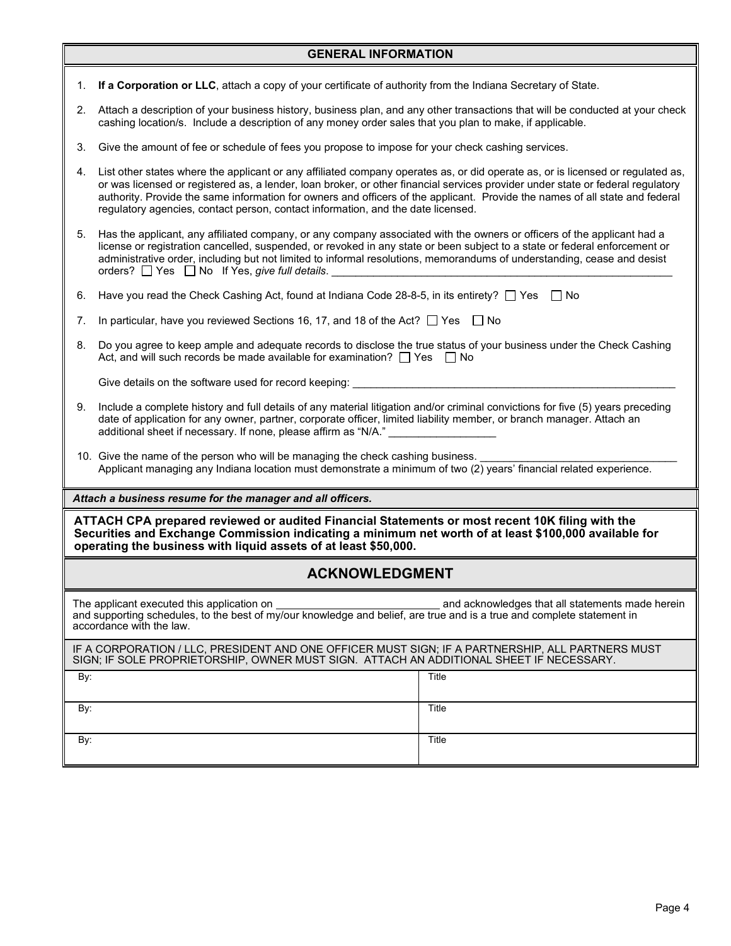|                                                                                                                                                                                                                                                                             | <b>GENERAL INFORMATION</b>                                                                                                                                                                                                                                                                                                                                                                                                                                                             |  |  |
|-----------------------------------------------------------------------------------------------------------------------------------------------------------------------------------------------------------------------------------------------------------------------------|----------------------------------------------------------------------------------------------------------------------------------------------------------------------------------------------------------------------------------------------------------------------------------------------------------------------------------------------------------------------------------------------------------------------------------------------------------------------------------------|--|--|
| 1.                                                                                                                                                                                                                                                                          | If a Corporation or LLC, attach a copy of your certificate of authority from the Indiana Secretary of State.                                                                                                                                                                                                                                                                                                                                                                           |  |  |
|                                                                                                                                                                                                                                                                             | 2. Attach a description of your business history, business plan, and any other transactions that will be conducted at your check<br>cashing location/s. Include a description of any money order sales that you plan to make, if applicable.                                                                                                                                                                                                                                           |  |  |
| 3.                                                                                                                                                                                                                                                                          | Give the amount of fee or schedule of fees you propose to impose for your check cashing services.                                                                                                                                                                                                                                                                                                                                                                                      |  |  |
| 4.                                                                                                                                                                                                                                                                          | List other states where the applicant or any affiliated company operates as, or did operate as, or is licensed or regulated as,<br>or was licensed or registered as, a lender, loan broker, or other financial services provider under state or federal regulatory<br>authority. Provide the same information for owners and officers of the applicant. Provide the names of all state and federal<br>regulatory agencies, contact person, contact information, and the date licensed. |  |  |
|                                                                                                                                                                                                                                                                             | 5. Has the applicant, any affiliated company, or any company associated with the owners or officers of the applicant had a<br>license or registration cancelled, suspended, or revoked in any state or been subject to a state or federal enforcement or<br>administrative order, including but not limited to informal resolutions, memorandums of understanding, cease and desist<br>orders? $\Box$ Yes $\Box$ No If Yes, give full details.                                         |  |  |
| Have you read the Check Cashing Act, found at Indiana Code 28-8-5, in its entirety? $\Box$ Yes $\Box$ No<br>6.                                                                                                                                                              |                                                                                                                                                                                                                                                                                                                                                                                                                                                                                        |  |  |
| 7.                                                                                                                                                                                                                                                                          | In particular, have you reviewed Sections 16, 17, and 18 of the Act? $\Box$ Yes $\Box$ No                                                                                                                                                                                                                                                                                                                                                                                              |  |  |
| 8.                                                                                                                                                                                                                                                                          | Do you agree to keep ample and adequate records to disclose the true status of your business under the Check Cashing<br>Act, and will such records be made available for examination? $\Box$ Yes $\Box$ No                                                                                                                                                                                                                                                                             |  |  |
|                                                                                                                                                                                                                                                                             | Give details on the software used for record keeping:                                                                                                                                                                                                                                                                                                                                                                                                                                  |  |  |
| 9.                                                                                                                                                                                                                                                                          | Include a complete history and full details of any material litigation and/or criminal convictions for five (5) years preceding<br>date of application for any owner, partner, corporate officer, limited liability member, or branch manager. Attach an<br>additional sheet if necessary. If none, please affirm as "N/A."                                                                                                                                                            |  |  |
| 10. Give the name of the person who will be managing the check cashing business.<br>Applicant managing any Indiana location must demonstrate a minimum of two (2) years' financial related experience.                                                                      |                                                                                                                                                                                                                                                                                                                                                                                                                                                                                        |  |  |
|                                                                                                                                                                                                                                                                             | Attach a business resume for the manager and all officers.                                                                                                                                                                                                                                                                                                                                                                                                                             |  |  |
| ATTACH CPA prepared reviewed or audited Financial Statements or most recent 10K filing with the<br>Securities and Exchange Commission indicating a minimum net worth of at least \$100,000 available for<br>operating the business with liquid assets of at least \$50,000. |                                                                                                                                                                                                                                                                                                                                                                                                                                                                                        |  |  |
| <b>ACKNOWLEDGMENT</b>                                                                                                                                                                                                                                                       |                                                                                                                                                                                                                                                                                                                                                                                                                                                                                        |  |  |
| The applicant executed this application on<br>and acknowledges that all statements made herein<br>and supporting schedules, to the best of my/our knowledge and belief, are true and is a true and complete statement in<br>accordance with the law.                        |                                                                                                                                                                                                                                                                                                                                                                                                                                                                                        |  |  |
| IF A CORPORATION / LLC, PRESIDENT AND ONE OFFICER MUST SIGN; IF A PARTNERSHIP, ALL PARTNERS MUST<br>SIGN; IF SOLE PROPRIETORSHIP, OWNER MUST SIGN. ATTACH AN ADDITIONAL SHEET IF NECESSARY.                                                                                 |                                                                                                                                                                                                                                                                                                                                                                                                                                                                                        |  |  |
| By:                                                                                                                                                                                                                                                                         | Title                                                                                                                                                                                                                                                                                                                                                                                                                                                                                  |  |  |
| By:                                                                                                                                                                                                                                                                         | Title                                                                                                                                                                                                                                                                                                                                                                                                                                                                                  |  |  |
| Title<br>By:                                                                                                                                                                                                                                                                |                                                                                                                                                                                                                                                                                                                                                                                                                                                                                        |  |  |
|                                                                                                                                                                                                                                                                             |                                                                                                                                                                                                                                                                                                                                                                                                                                                                                        |  |  |

#### Page 4